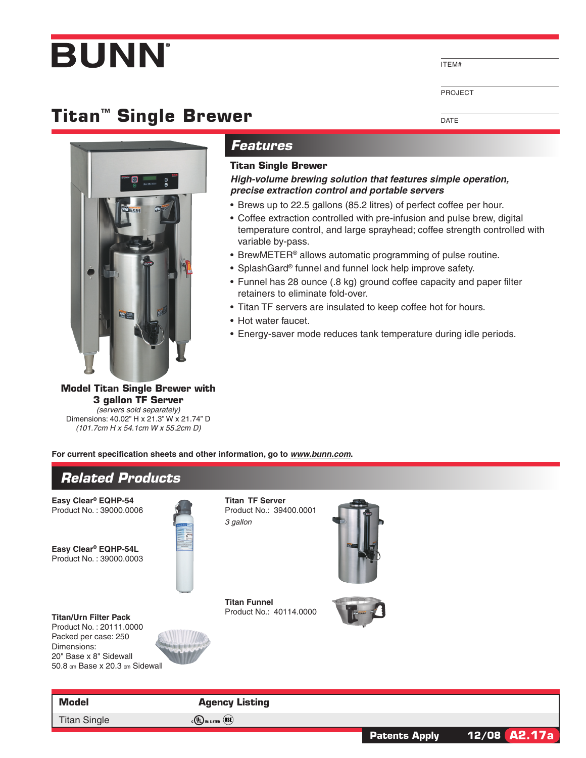# **BUNN**

ITEM#

DATE

Project

## **Titan™ Single Brewer**



### *Features*

#### **Titan Single Brewer**

*High-volume brewing solution that features simple operation, precise extraction control and portable servers*

- Brews up to 22.5 gallons (85.2 litres) of perfect coffee per hour.
- Coffee extraction controlled with pre-infusion and pulse brew, digital temperature control, and large sprayhead; coffee strength controlled with variable by-pass.
- BrewMETER<sup>®</sup> allows automatic programming of pulse routine.
- SplashGard® funnel and funnel lock help improve safety.
- Funnel has 28 ounce (.8 kg) ground coffee capacity and paper filter retainers to eliminate fold-over.
- Titan TF servers are insulated to keep coffee hot for hours.
- Hot water faucet.
- Energy-saver mode reduces tank temperature during idle periods.

**Model Titan Single Brewer with 3 gallon TF Server** *(servers sold separately)*

Dimensions: 40.02" H x 21.3" W x 21.74" D *(101.7cm H x 54.1cm W x 55.2cm D)*

**For current specification sheets and other information, go to** *www.bunn.com***.**

### *Related Products* **Model Agency Listing Easy Clear® EQHP-54** Product No. : 39000.0006 **Easy Clear® EQHP-54L** Product No. : 39000.0003 **Titan/Urn Filter Pack** Product No. : 20111.0000 Packed per case: 250 Dimensions: 20" Base x 8" Sidewall 50.8 cm Base x 20.3 cm Sidewall **Titan TF Server** Product No.: 39400.0001 *3 gallon* **Titan Funnel** Product No.: 40114.0000

Titan Single  $_{c}$  (VL) us listed  $(MSE)$ 

**Patents Apply 12/08 A2.17a**